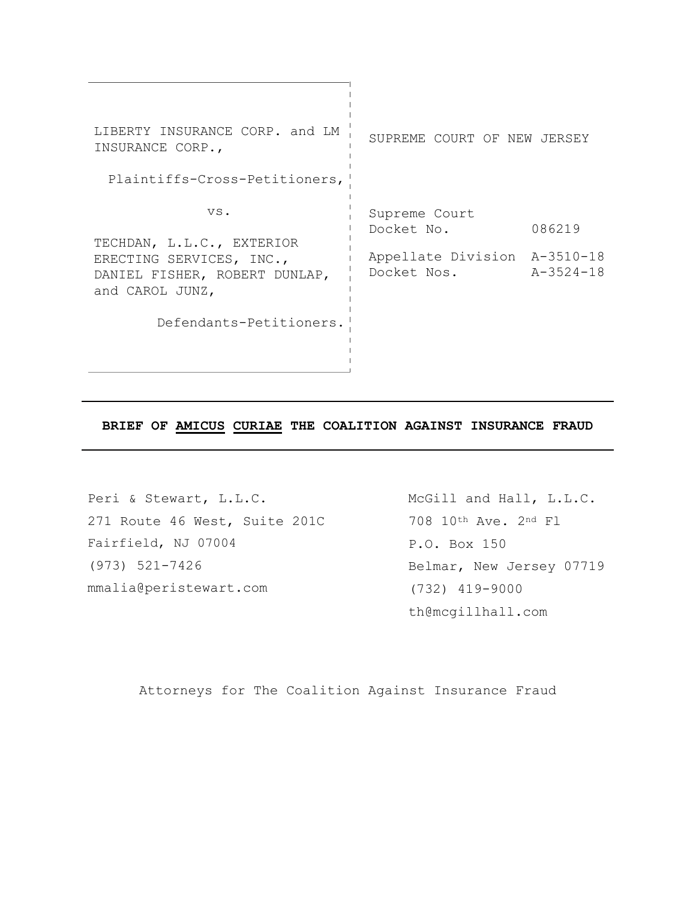| LIBERTY INSURANCE CORP. and LM<br>INSURANCE CORP.,                                            | SUPREME COURT OF NEW JERSEY                                                |                     |
|-----------------------------------------------------------------------------------------------|----------------------------------------------------------------------------|---------------------|
| Plaintiffs-Cross-Petitioners,                                                                 |                                                                            |                     |
| VS.<br>TECHDAN, L.L.C., EXTERIOR<br>ERECTING SERVICES, INC.,<br>DANIEL FISHER, ROBERT DUNLAP, | Supreme Court<br>Docket No.<br>Appellate Division A-3510-18<br>Docket Nos. | 086219<br>A-3524-18 |
| and CAROL JUNZ,                                                                               |                                                                            |                     |
| Defendants-Petitioners.                                                                       |                                                                            |                     |

## **BRIEF OF AMICUS CURIAE THE COALITION AGAINST INSURANCE FRAUD**

the control of the control of the

Peri & Stewart, L.L.C. 271 Route 46 West, Suite 201C 708 10th Ave. 2nd Fl Fairfield, NJ 07004 (973) 521-7426 mmalia@peristewart.com

McGill and Hall, L.L.C. P.O. Box 150 Belmar, New Jersey 07719 (732) 419-9000 th@mcgillhall.com

Attorneys for The Coalition Against Insurance Fraud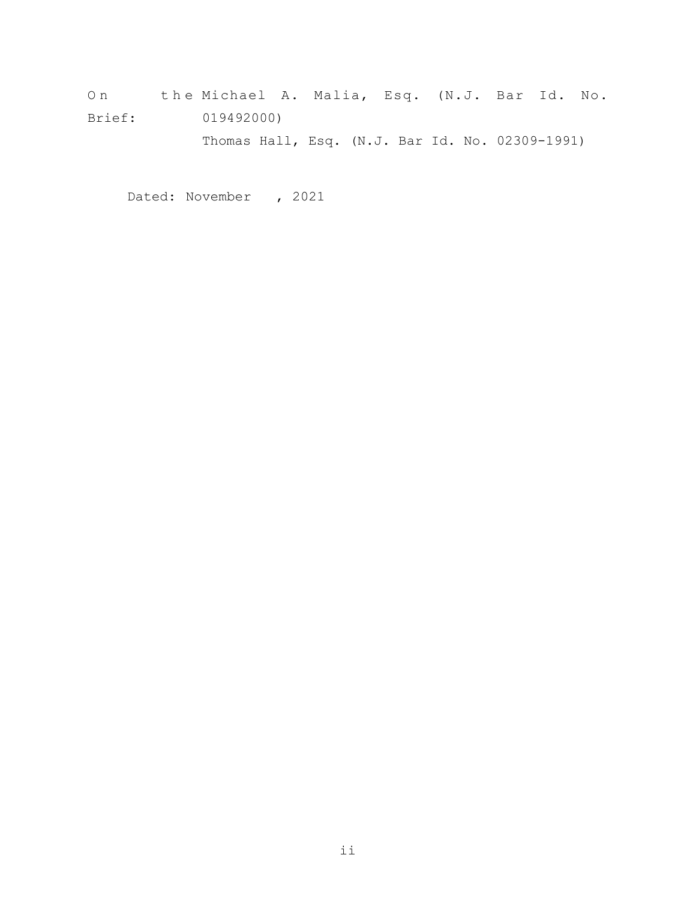On the Michael A. Malia, Esq. (N.J. Bar Id. No. Brief: 019492000)

Thomas Hall, Esq. (N.J. Bar Id. No. 02309-1991)

Dated: November , 2021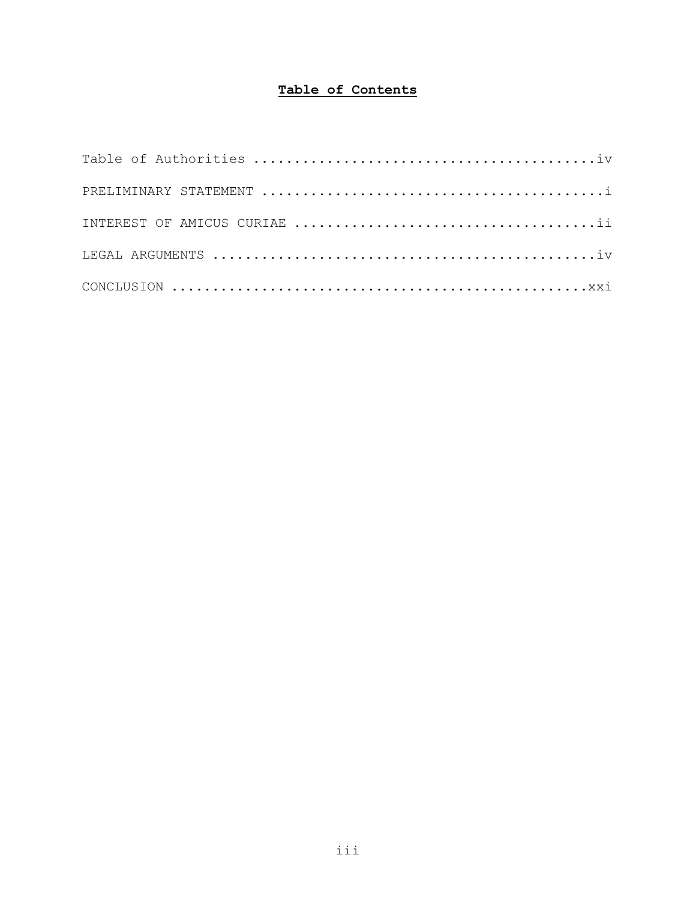# **Table of Contents**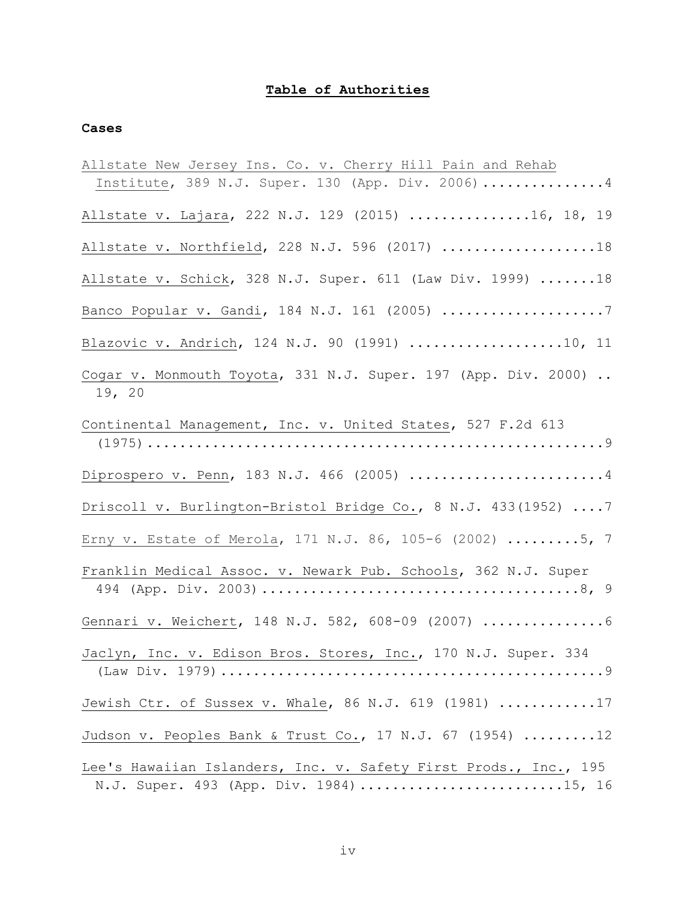# <span id="page-3-0"></span>**Table of Authorities**

## **Cases**

| Allstate New Jersey Ins. Co. v. Cherry Hill Pain and Rehab               |
|--------------------------------------------------------------------------|
| Institute, 389 N.J. Super. 130 (App. Div. 2006)  4                       |
| Allstate v. Lajara, 222 N.J. 129 (2015) 16, 18, 19                       |
| Allstate v. Northfield, 228 N.J. 596 (2017) 18                           |
| Allstate v. Schick, 328 N.J. Super. 611 (Law Div. 1999) 18               |
| Banco Popular v. Gandi, 184 N.J. 161 (2005) 7                            |
| Blazovic v. Andrich, 124 N.J. 90 (1991) 10, 11                           |
| Cogar v. Monmouth Toyota, 331 N.J. Super. 197 (App. Div. 2000)<br>19, 20 |
| Continental Management, Inc. v. United States, 527 F.2d 613              |
| Diprospero v. Penn, 183 N.J. 466 (2005) 4                                |
| Driscoll v. Burlington-Bristol Bridge Co., 8 N.J. 433 (1952)  7          |
| Erny v. Estate of Merola, 171 N.J. 86, 105-6 (2002) 5, 7                 |
| Franklin Medical Assoc. v. Newark Pub. Schools, 362 N.J. Super           |
| Gennari v. Weichert, 148 N.J. 582, 608-09 (2007)  6                      |
| Jaclyn, Inc. v. Edison Bros. Stores, Inc., 170 N.J. Super. 334           |
| Jewish Ctr. of Sussex v. Whale, 86 N.J. 619 (1981) 17                    |
| Judson v. Peoples Bank & Trust Co., 17 N.J. 67 (1954) 12                 |
| Lee's Hawaiian Islanders, Inc. v. Safety First Prods., Inc., 195         |
| N.J. Super. 493 (App. Div. 1984) 15, 16                                  |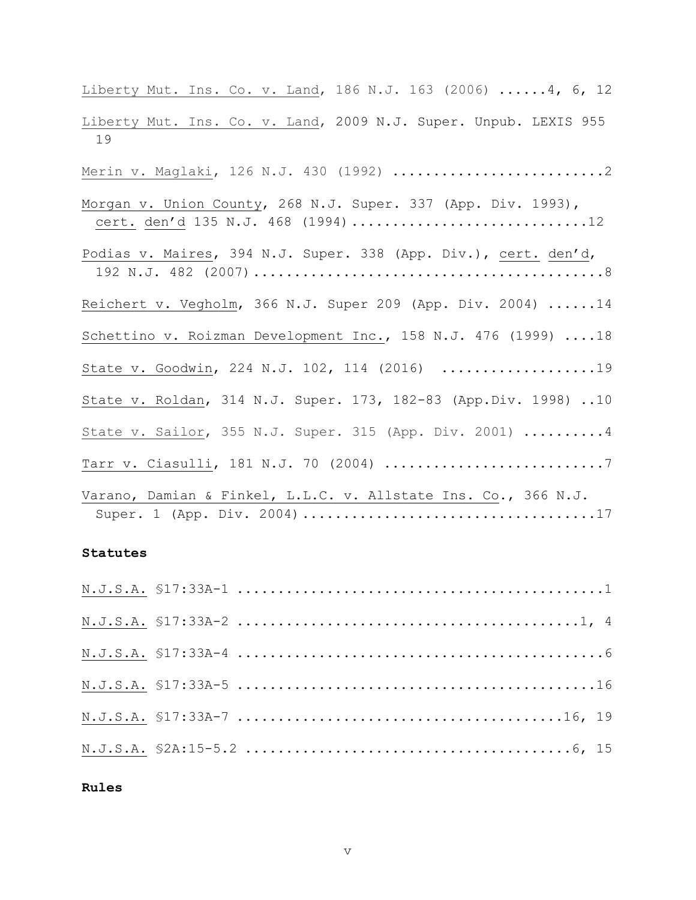| Liberty Mut. Ins. Co. v. Land, 186 N.J. 163 (2006)  4, 6, 12                                        |
|-----------------------------------------------------------------------------------------------------|
| Liberty Mut. Ins. Co. v. Land, 2009 N.J. Super. Unpub. LEXIS 955<br>19                              |
| Merin v. Maglaki, 126 N.J. 430 (1992) 2                                                             |
| Morgan v. Union County, 268 N.J. Super. 337 (App. Div. 1993),<br>cert. den'd 135 N.J. 468 (1994) 12 |
| Podias v. Maires, 394 N.J. Super. 338 (App. Div.), cert. den'd,                                     |
| Reichert v. Vegholm, 366 N.J. Super 209 (App. Div. 2004)  14                                        |
| Schettino v. Roizman Development Inc., 158 N.J. 476 (1999)  18                                      |
| State v. Goodwin, 224 N.J. 102, 114 (2016) 19                                                       |
| State v. Roldan, 314 N.J. Super. 173, 182-83 (App.Div. 1998) 10                                     |
| State v. Sailor, 355 N.J. Super. 315 (App. Div. 2001)  4                                            |
| Tarr v. Ciasulli, 181 N.J. 70 (2004) 7                                                              |
| Varano, Damian & Finkel, L.L.C. v. Allstate Ins. Co., 366 N.J.                                      |

# **Statutes**

## **Rules**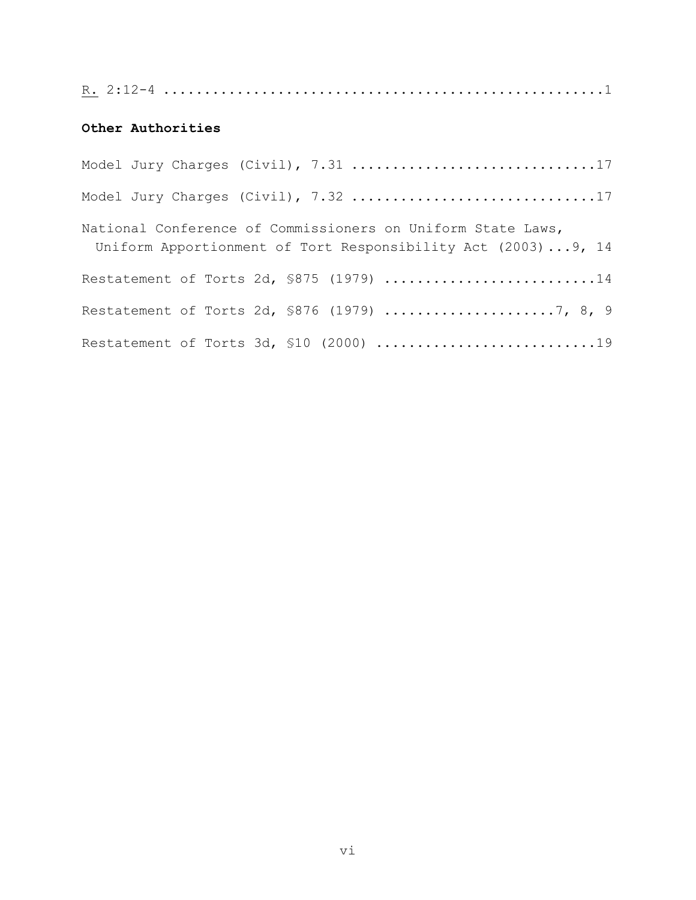R. 2:12-4 1 ......................................................

# **Other Authorities**

| Model Jury Charges (Civil), 7.31 17                                                                                         |
|-----------------------------------------------------------------------------------------------------------------------------|
| Model Jury Charges (Civil), 7.32 17                                                                                         |
| National Conference of Commissioners on Uniform State Laws,<br>Uniform Apportionment of Tort Responsibility Act (2003)9, 14 |
| Restatement of Torts 2d, §875 (1979) 14                                                                                     |
| Restatement of Torts 2d, §876 (1979) 7, 8, 9                                                                                |
| Restatement of Torts 3d, \$10 (2000) 19                                                                                     |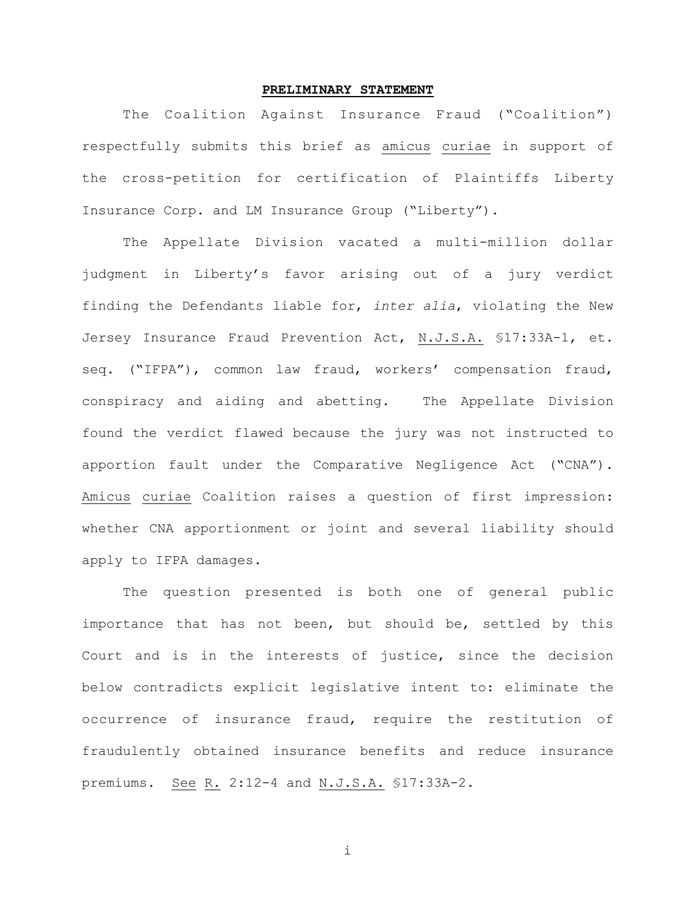#### <span id="page-6-0"></span>**PRELIMINARY STATEMENT**

The Coalition Against Insurance Fraud ("Coalition") respectfully submits this brief as amicus curiae in support of the cross-petition for certification of Plaintiffs Liberty Insurance Corp. and LM Insurance Group ("Liberty").

The Appellate Division vacated a multi-million dollar judgment in Liberty's favor arising out of a jury verdict finding the Defendants liable for, *inter alia*, violating the New Jersey Insurance Fraud Prevention Act, N.J.S.A. §17:33A-1, et. seq. ("IFPA"), common law fraud, workers' compensation fraud, conspiracy and aiding and abetting. The Appellate Division found the verdict flawed because the jury was not instructed to apportion fault under the Comparative Negligence Act ("CNA"). Amicus curiae Coalition raises a question of first impression: whether CNA apportionment or joint and several liability should apply to IFPA damages.

The question presented is both one of general public importance that has not been, but should be, settled by this Court and is in the interests of justice, since the decision below contradicts explicit legislative intent to: eliminate the occurrence of insurance fraud, require the restitution of fraudulently obtained insurance benefits and reduce insurance premiums. See R. 2:12-4 and N.J.S.A. §17:33A-2.

i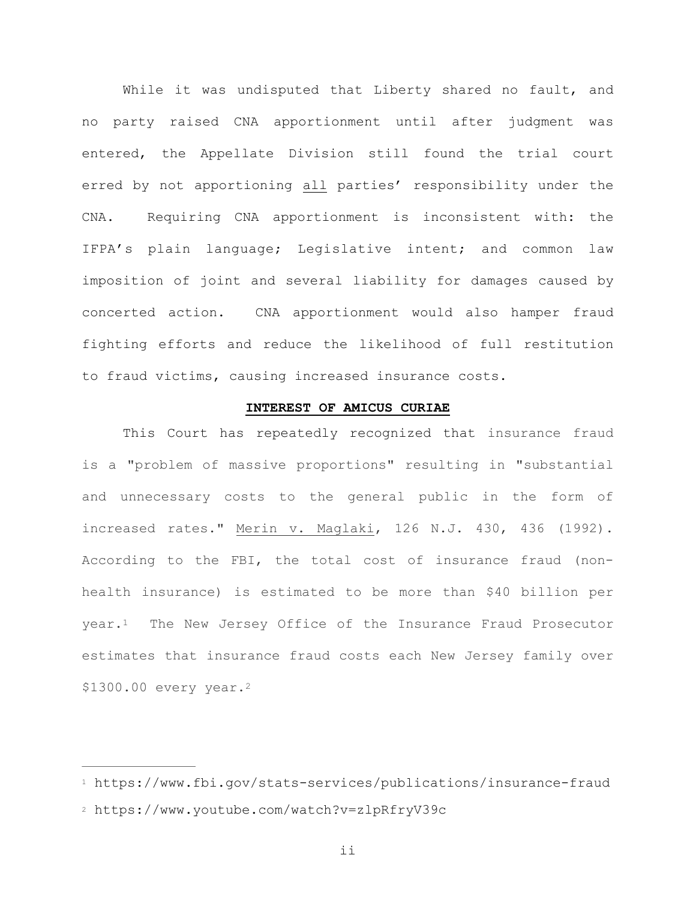While it was undisputed that Liberty shared no fault, and no party raised CNA apportionment until after judgment was entered, the Appellate Division still found the trial court erred by not apportioning all parties' responsibility under the CNA. Requiring CNA apportionment is inconsistent with: the IFPA's plain language; Legislative intent; and common law imposition of joint and several liability for damages caused by concerted action. CNA apportionment would also hamper fraud fighting efforts and reduce the likelihood of full restitution to fraud victims, causing increased insurance costs.

### <span id="page-7-0"></span>**INTEREST OF AMICUS CURIAE**

This Court has repeatedly recognized that insurance fraud is a "problem of massive proportions" resulting in "substantial and unnecessary costs to the general public in the form of increased rates." Merin v. Maglaki, 126 N.J. 430, 436 (1992). According to the FBI, the total cost of insurance fraud (nonhealth insurance) is estimated to be more than \$40 billion per year[.1](#page-7-1) The New Jersey Office of the Insurance Fraud Prosecutor estimates that insurance fraud costs each New Jersey family over \$1300.00 every year[.2](#page-7-2) 

<span id="page-7-4"></span><span id="page-7-3"></span><span id="page-7-1"></span>[<sup>1</sup>](#page-7-3) https://www.fbi.gov/stats-services/publications/insurance-fraud

<span id="page-7-2"></span>[<sup>2</sup>](#page-7-4) https://www.youtube.com/watch?v=zlpRfryV39c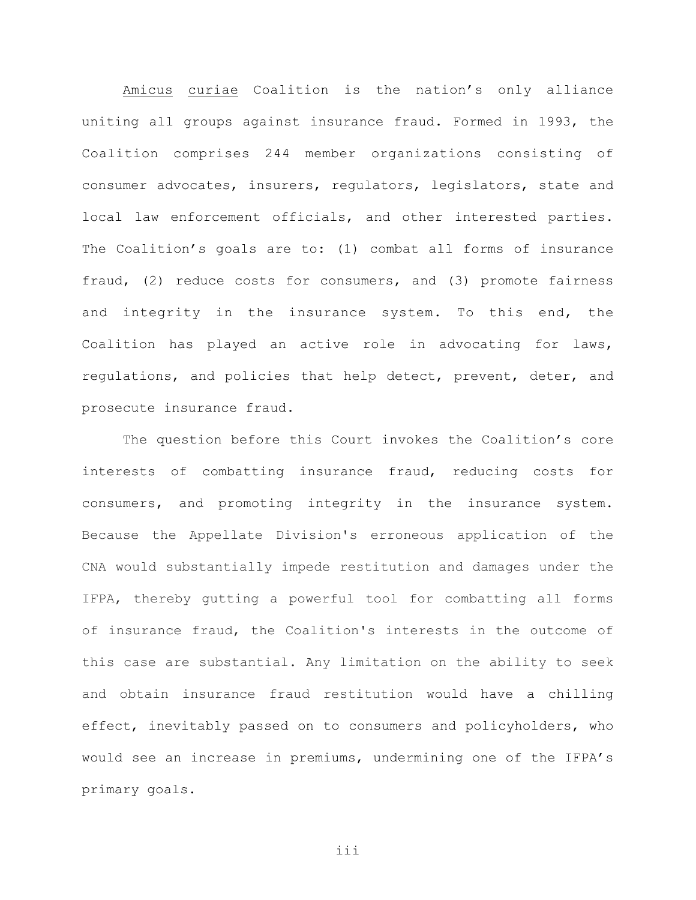Amicus curiae Coalition is the nation's only alliance uniting all groups against insurance fraud. Formed in 1993, the Coalition comprises 244 member organizations consisting of consumer advocates, insurers, regulators, legislators, state and local law enforcement officials, and other interested parties. The Coalition's goals are to: (1) combat all forms of insurance fraud, (2) reduce costs for consumers, and (3) promote fairness and integrity in the insurance system. To this end, the Coalition has played an active role in advocating for laws, regulations, and policies that help detect, prevent, deter, and prosecute insurance fraud.

The question before this Court invokes the Coalition's core interests of combatting insurance fraud, reducing costs for consumers, and promoting integrity in the insurance system. Because the Appellate Division's erroneous application of the CNA would substantially impede restitution and damages under the IFPA, thereby gutting a powerful tool for combatting all forms of insurance fraud, the Coalition's interests in the outcome of this case are substantial. Any limitation on the ability to seek and obtain insurance fraud restitution would have a chilling effect, inevitably passed on to consumers and policyholders, who would see an increase in premiums, undermining one of the IFPA's primary goals.

iii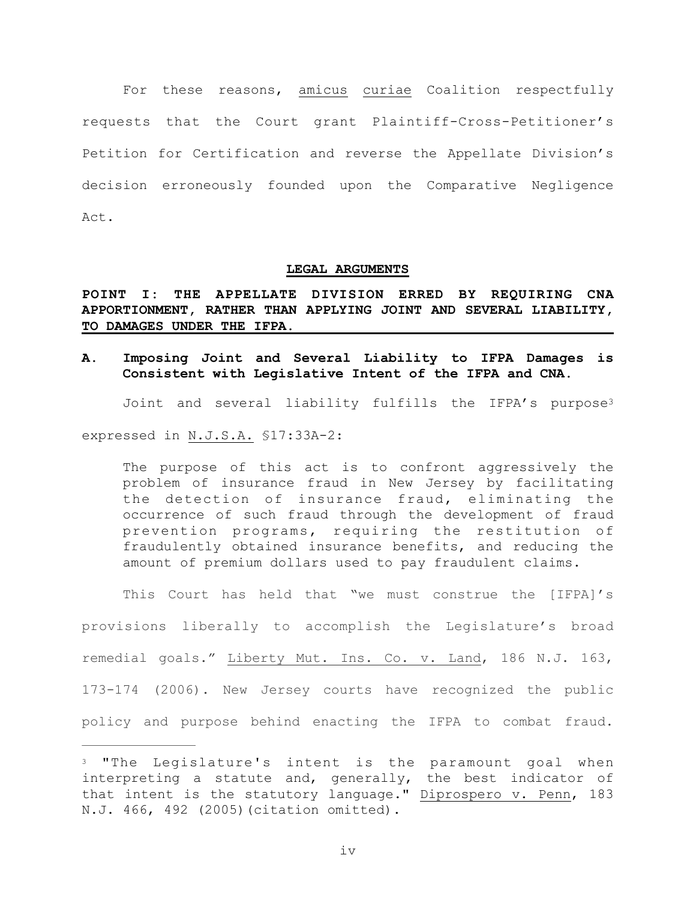For these reasons, amicus curiae Coalition respectfully requests that the Court grant Plaintiff-Cross-Petitioner's Petition for Certification and reverse the Appellate Division's decision erroneously founded upon the Comparative Negligence Act.

### <span id="page-9-2"></span><span id="page-9-0"></span>**LEGAL ARGUMENTS**

## **POINT I: THE APPELLATE DIVISION ERRED BY REQUIRING CNA APPORTIONMENT, RATHER THAN APPLYING JOINT AND SEVERAL LIABILITY, TO DAMAGES UNDER THE IFPA.**

**A. Imposing Joint and Several Liability to IFPA Damages is Consistent with Legislative Intent of the IFPA and CNA.** 

Joint and several liability fulfills the IFPA's purpos[e3](#page-9-1) expressed in N.J.S.A. §17:33A-2:

The purpose of this act is to confront aggressively the problem of insurance fraud in New Jersey by facilitating the detection of insurance fraud, eliminating the occurrence of such fraud through the development of fraud prevention programs, requiring the restitution of fraudulently obtained insurance benefits, and reducing the amount of premium dollars used to pay fraudulent claims.

This Court has held that "we must construe the [IFPA]'s provisions liberally to accomplish the Legislature's broad remedial goals." Liberty Mut. Ins. Co. v. Land, 186 N.J. 163, 173-174 (2006). New Jersey courts have recognized the public policy and purpose behind enacting the IFPA to combat fraud.

iv

<span id="page-9-1"></span>[<sup>3</sup>](#page-9-2) "The Legislature's intent is the paramount goal when interpreting a statute and, generally, the best indicator of that intent is the statutory language." Diprospero v. Penn, 183 N.J. 466, 492 (2005)(citation omitted).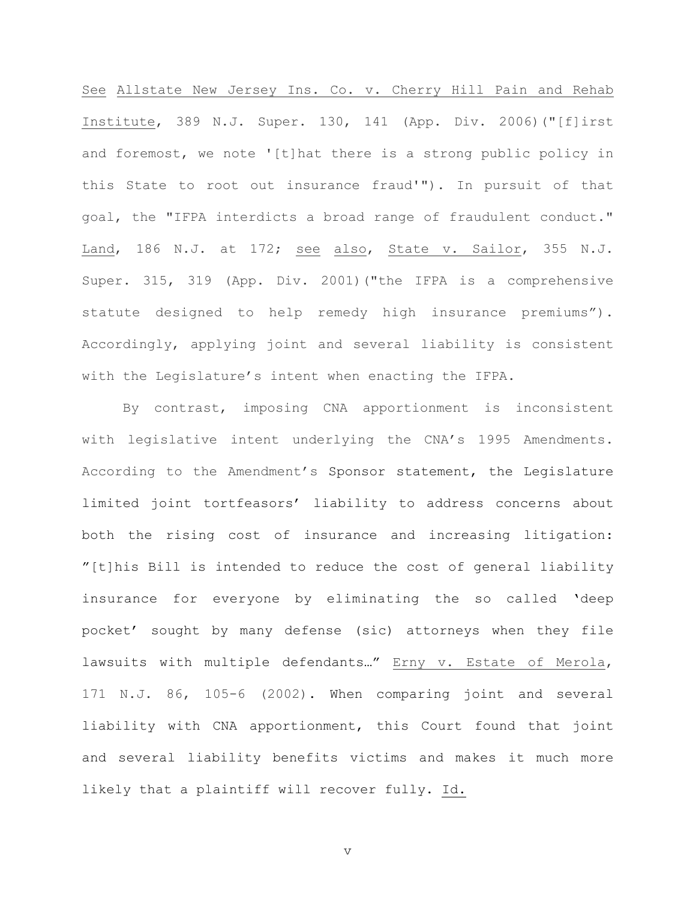See Allstate New Jersey Ins. Co. v. Cherry Hill Pain and Rehab Institute, 389 N.J. Super. 130, 141 (App. Div. 2006)("[f]irst and foremost, we note '[t]hat there is a strong public policy in this State to root out insurance fraud'"). In pursuit of that goal, the "IFPA interdicts a broad range of fraudulent conduct." Land, 186 N.J. at 172; see also, State v. Sailor, 355 N.J. Super. 315, 319 (App. Div. 2001)("the IFPA is a comprehensive statute designed to help remedy high insurance premiums"). Accordingly, applying joint and several liability is consistent with the Legislature's intent when enacting the IFPA.

By contrast, imposing CNA apportionment is inconsistent with legislative intent underlying the CNA's 1995 Amendments. According to the Amendment's Sponsor statement, the Legislature limited joint tortfeasors' liability to address concerns about both the rising cost of insurance and increasing litigation: "[t]his Bill is intended to reduce the cost of general liability insurance for everyone by eliminating the so called 'deep pocket' sought by many defense (sic) attorneys when they file lawsuits with multiple defendants…" Erny v. Estate of Merola, 171 N.J. 86, 105-6 (2002). When comparing joint and several liability with CNA apportionment, this Court found that joint and several liability benefits victims and makes it much more likely that a plaintiff will recover fully. Id.

v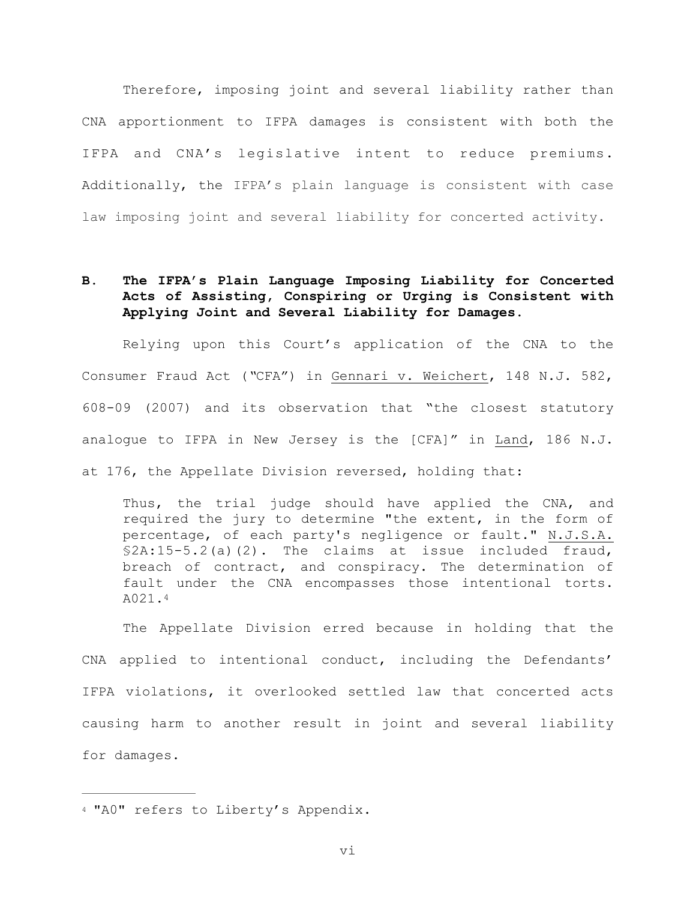Therefore, imposing joint and several liability rather than CNA apportionment to IFPA damages is consistent with both the IFPA and CNA's legislative intent to reduce premiums. Additionally, the IFPA's plain language is consistent with case law imposing joint and several liability for concerted activity.

## **B. The IFPA's Plain Language Imposing Liability for Concerted Acts of Assisting, Conspiring or Urging is Consistent with Applying Joint and Several Liability for Damages.**

Relying upon this Court's application of the CNA to the Consumer Fraud Act (*"*CFA") in Gennari v. Weichert, 148 N.J. 582, 608-09 (2007) and its observation that "the closest statutory analogue to IFPA in New Jersey is the [CFA]" in Land, 186 N.J. at 176, the Appellate Division reversed, holding that:

Thus, the trial judge should have applied the CNA, and required the jury to determine "the extent, in the form of percentage, of each party's negligence or fault." N.J.S.A. §2A:15-5.2(a)(2). The claims at issue included fraud, breach of contract, and conspiracy. The determination of fault under the CNA encompasses those intentional torts. A021[.4](#page-11-0)

<span id="page-11-1"></span>The Appellate Division erred because in holding that the CNA applied to intentional conduct, including the Defendants' IFPA violations, it overlooked settled law that concerted acts causing harm to another result in joint and several liability for damages.

<span id="page-11-0"></span>[<sup>4</sup>](#page-11-1) "A0" refers to Liberty's Appendix.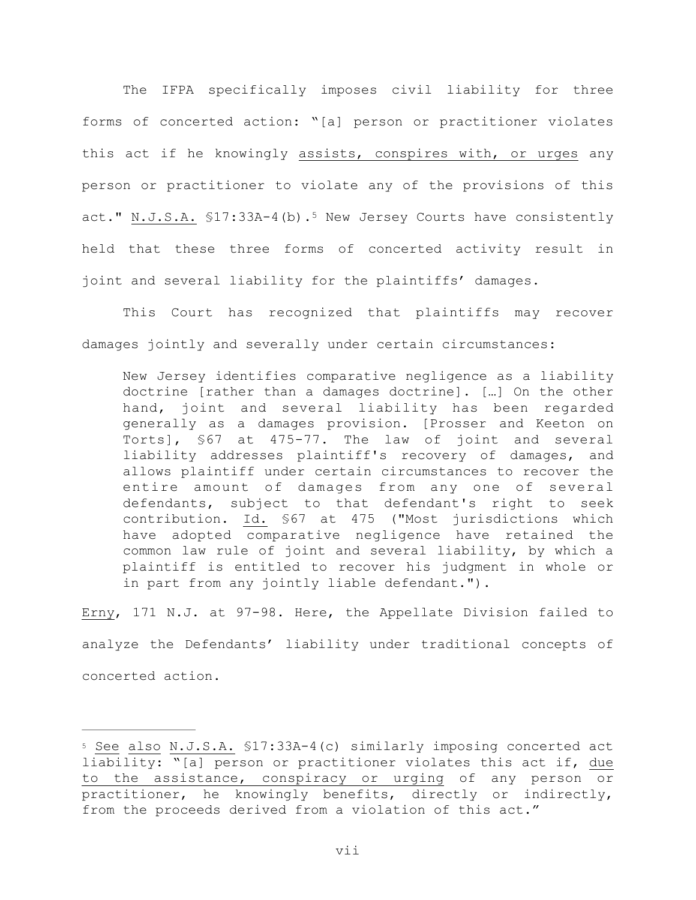The IFPA specifically imposes civil liability for three forms of concerted action: "[a] person or practitioner violates this act if he knowingly assists, conspires with, or urges any person or practitioner to violate any of the provisions of this act." N.J.S.A. §17:33A-4(b)[.5](#page-12-0) New Jersey Courts have consistently held that these three forms of concerted activity result in joint and several liability for the plaintiffs' damages.

This Court has recognized that plaintiffs may recover damages jointly and severally under certain circumstances:

<span id="page-12-1"></span>New Jersey identifies comparative negligence as a liability doctrine [rather than a damages doctrine]. […] On the other hand, joint and several liability has been regarded generally as a damages provision. [Prosser and Keeton on Torts], §67 at 475-77. The law of joint and several liability addresses plaintiff's recovery of damages, and allows plaintiff under certain circumstances to recover the entire amount of damages from any one of several defendants, subject to that defendant's right to seek contribution. Id. §67 at 475 ("Most jurisdictions which have adopted comparative negligence have retained the common law rule of joint and several liability, by which a plaintiff is entitled to recover his judgment in whole or in part from any jointly liable defendant.").

Erny, 171 N.J. at 97-98. Here, the Appellate Division failed to analyze the Defendants' liability under traditional concepts of concerted action.

<span id="page-12-0"></span>[<sup>5</sup>](#page-12-1) See also N.J.S.A. §17:33A-4(c) similarly imposing concerted act liability: "[a] person or practitioner violates this act if, due to the assistance, conspiracy or urging of any person or practitioner, he knowingly benefits, directly or indirectly, from the proceeds derived from a violation of this act."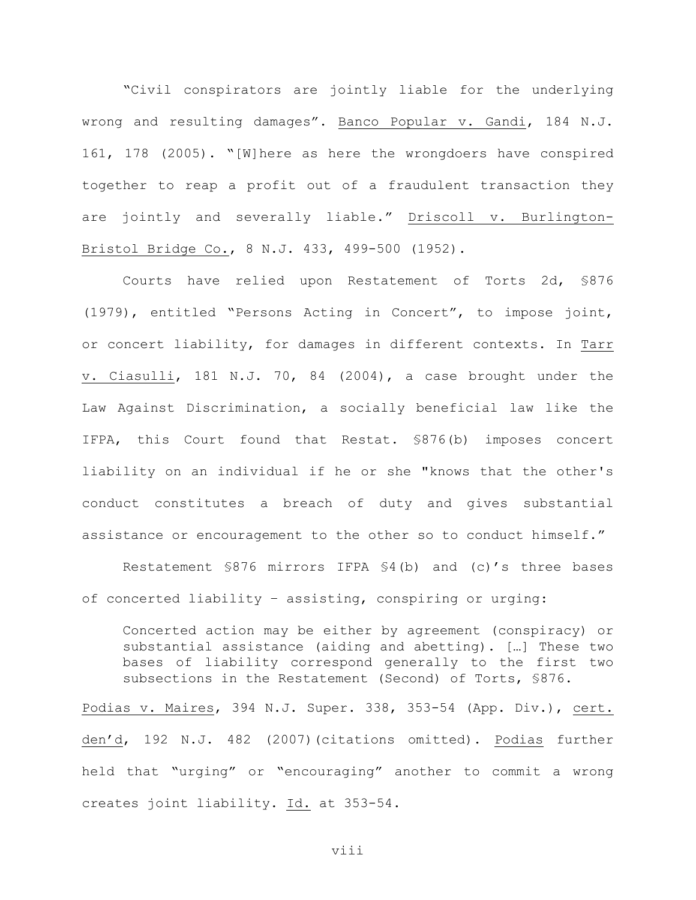"Civil conspirators are jointly liable for the underlying wrong and resulting damages". Banco Popular v. Gandi, 184 N.J. 161, 178 (2005). "[W]here as here the wrongdoers have conspired together to reap a profit out of a fraudulent transaction they are jointly and severally liable." Driscoll v. Burlington-Bristol Bridge Co., 8 N.J. 433, 499-500 (1952).

Courts have relied upon Restatement of Torts 2d, §876 (1979), entitled "Persons Acting in Concert", to impose joint, or concert liability, for damages in different contexts. In Tarr v. Ciasulli, 181 N.J. 70, 84 (2004), a case brought under the Law Against Discrimination, a socially beneficial law like the IFPA, this Court found that Restat. §876(b) imposes concert liability on an individual if he or she "knows that the other's conduct constitutes a breach of duty and gives substantial assistance or encouragement to the other so to conduct himself."

Restatement §876 mirrors IFPA §4(b) and (c)'s three bases of concerted liability – assisting, conspiring or urging:

Concerted action may be either by agreement (conspiracy) or substantial assistance (aiding and abetting). […] These two bases of liability correspond generally to the first two subsections in the Restatement (Second) of Torts, §876.

Podias v. Maires, 394 N.J. Super. 338, 353-54 (App. Div.), cert. den'd, 192 N.J. 482 (2007)(citations omitted). Podias further held that "urging" or "encouraging" another to commit a wrong creates joint liability. Id. at 353-54.

viii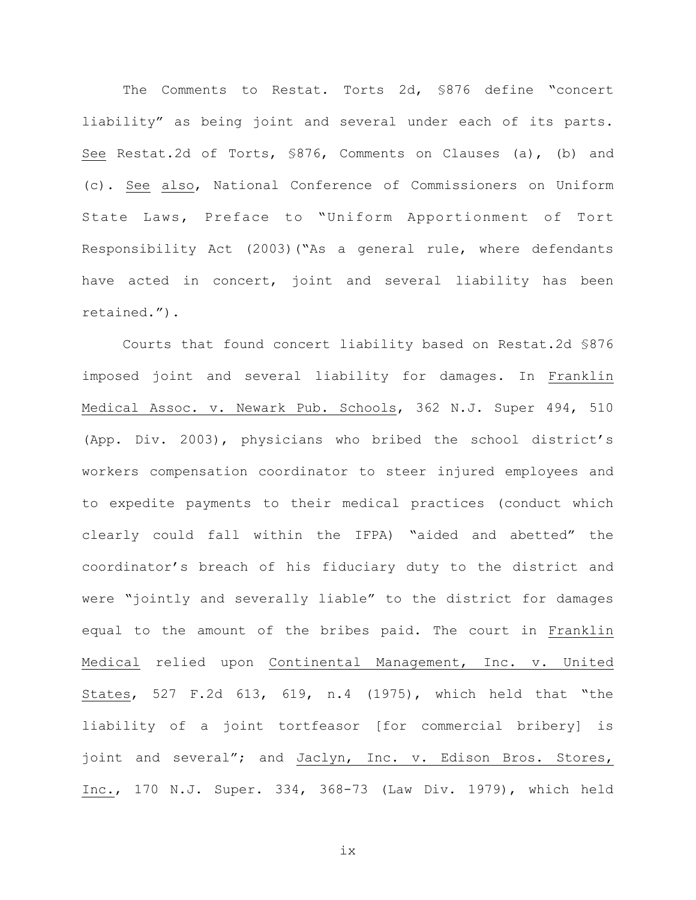The Comments to Restat. Torts 2d, §876 define "concert liability" as being joint and several under each of its parts. See Restat.2d of Torts, §876, Comments on Clauses (a), (b) and (c). See also, National Conference of Commissioners on Uniform State Laws, Preface to "Uniform Apportionment of Tort Responsibility Act (2003)("As a general rule, where defendants have acted in concert, joint and several liability has been retained.").

Courts that found concert liability based on Restat.2d §876 imposed joint and several liability for damages. In Franklin Medical Assoc. v. Newark Pub. Schools, 362 N.J. Super 494, 510 (App. Div. 2003), physicians who bribed the school district's workers compensation coordinator to steer injured employees and to expedite payments to their medical practices (conduct which clearly could fall within the IFPA) "aided and abetted" the coordinator's breach of his fiduciary duty to the district and were "jointly and severally liable" to the district for damages equal to the amount of the bribes paid. The court in Franklin Medical relied upon Continental Management, Inc. v. United States, 527 F.2d 613, 619, n.4 (1975), which held that "the liability of a joint tortfeasor [for commercial bribery] is joint and several"; and Jaclyn, Inc. v. Edison Bros. Stores, Inc., 170 N.J. Super. 334, 368-73 (Law Div. 1979), which held

ix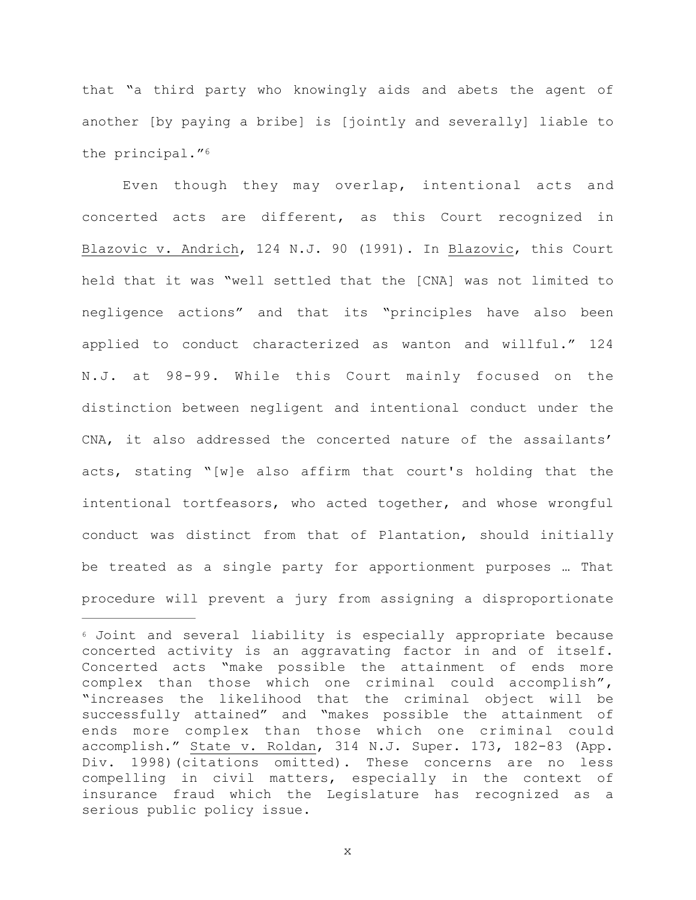that "a third party who knowingly aids and abets the agent of another [by paying a bribe] is [jointly and severally] liable to the principal.["6](#page-15-0)

<span id="page-15-1"></span>Even though they may overlap, intentional acts and concerted acts are different, as this Court recognized in Blazovic v. Andrich, 124 N.J. 90 (1991). In Blazovic, this Court held that it was "well settled that the [CNA] was not limited to negligence actions" and that its "principles have also been applied to conduct characterized as wanton and willful." 124 N.J. at 98-99. While this Court mainly focused on the distinction between negligent and intentional conduct under the CNA, it also addressed the concerted nature of the assailants' acts, stating "[w]e also affirm that court's holding that the intentional tortfeasors, who acted together, and whose wrongful conduct was distinct from that of Plantation, should initially be treated as a single party for apportionment purposes … That procedure will prevent a jury from assigning a disproportionate

x

<span id="page-15-0"></span>[<sup>6</sup>](#page-15-1) Joint and several liability is especially appropriate because concerted activity is an aggravating factor in and of itself. Concerted acts "make possible the attainment of ends more complex than those which one criminal could accomplish", "increases the likelihood that the criminal object will be successfully attained" and "makes possible the attainment of ends more complex than those which one criminal could accomplish." State v. Roldan, 314 N.J. Super. 173, 182-83 (App. Div. 1998)(citations omitted). These concerns are no less compelling in civil matters, especially in the context of insurance fraud which the Legislature has recognized as a serious public policy issue.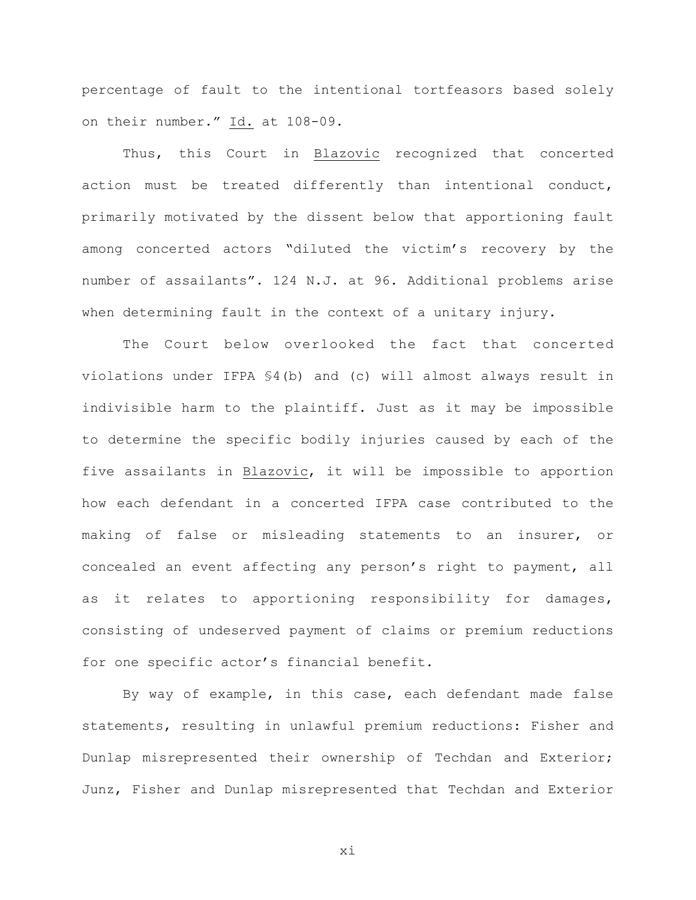percentage of fault to the intentional tortfeasors based solely on their number." Id. at 108-09.

Thus, this Court in Blazovic recognized that concerted action must be treated differently than intentional conduct, primarily motivated by the dissent below that apportioning fault among concerted actors "diluted the victim's recovery by the number of assailants". 124 N.J. at 96. Additional problems arise when determining fault in the context of a unitary injury.

 The Court below overlooked the fact that concerted violations under IFPA §4(b) and (c) will almost always result in indivisible harm to the plaintiff. Just as it may be impossible to determine the specific bodily injuries caused by each of the five assailants in Blazovic, it will be impossible to apportion how each defendant in a concerted IFPA case contributed to the making of false or misleading statements to an insurer, or concealed an event affecting any person's right to payment, all as it relates to apportioning responsibility for damages, consisting of undeserved payment of claims or premium reductions for one specific actor's financial benefit.

By way of example, in this case, each defendant made false statements, resulting in unlawful premium reductions: Fisher and Dunlap misrepresented their ownership of Techdan and Exterior; Junz, Fisher and Dunlap misrepresented that Techdan and Exterior

xi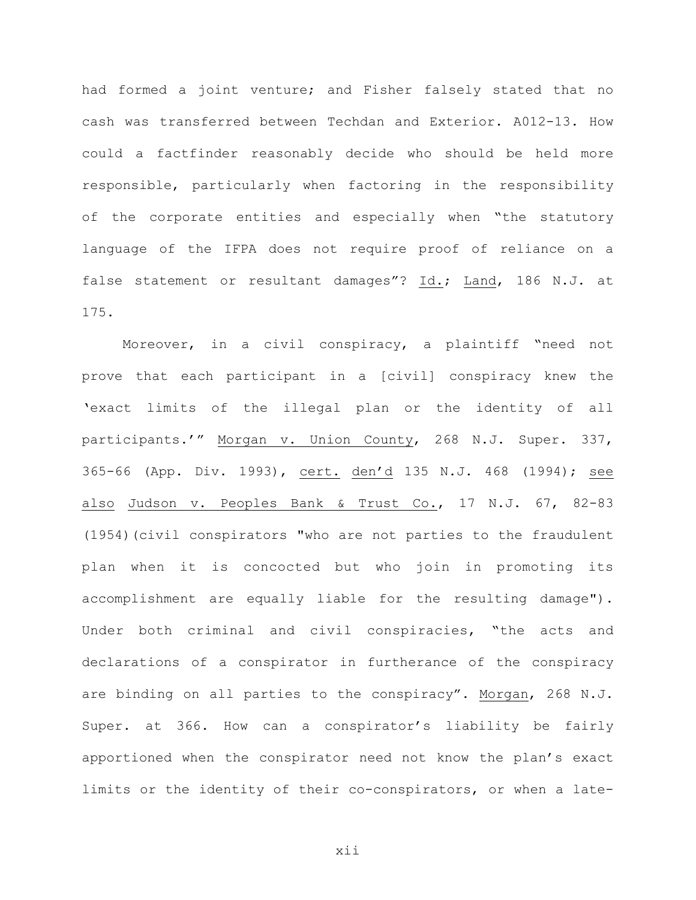had formed a joint venture; and Fisher falsely stated that no cash was transferred between Techdan and Exterior. A012-13. How could a factfinder reasonably decide who should be held more responsible, particularly when factoring in the responsibility of the corporate entities and especially when "the statutory language of the IFPA does not require proof of reliance on a false statement or resultant damages"? Id.; Land, 186 N.J. at 175.

Moreover, in a civil conspiracy, a plaintiff "need not prove that each participant in a [civil] conspiracy knew the 'exact limits of the illegal plan or the identity of all participants.'" Morgan v. Union County, 268 N.J. Super. 337, 365-66 (App. Div. 1993), cert. den'd 135 N.J. 468 (1994); see also Judson v. Peoples Bank & Trust Co., 17 N.J. 67, 82-83 (1954)(civil conspirators "who are not parties to the fraudulent plan when it is concocted but who join in promoting its accomplishment are equally liable for the resulting damage"). Under both criminal and civil conspiracies, "the acts and declarations of a conspirator in furtherance of the conspiracy are binding on all parties to the conspiracy". Morgan, 268 N.J. Super. at 366. How can a conspirator's liability be fairly apportioned when the conspirator need not know the plan's exact limits or the identity of their co-conspirators, or when a late-

xii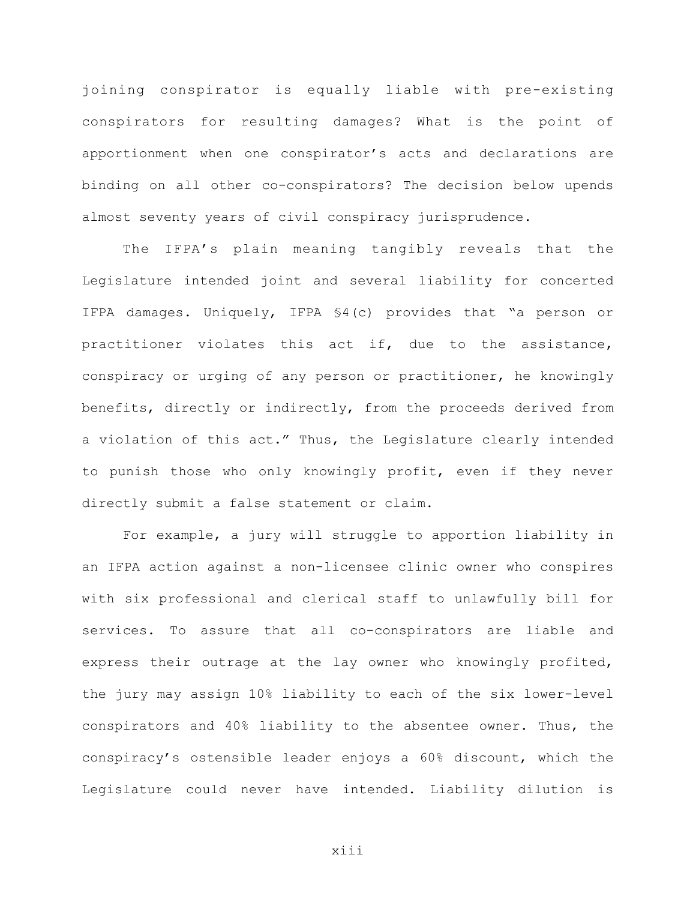joining conspirator is equally liable with pre-existing conspirators for resulting damages? What is the point of apportionment when one conspirator's acts and declarations are binding on all other co-conspirators? The decision below upends almost seventy years of civil conspiracy jurisprudence.

The IFPA's plain meaning tangibly reveals that the Legislature intended joint and several liability for concerted IFPA damages. Uniquely, IFPA §4(c) provides that "a person or practitioner violates this act if, due to the assistance, conspiracy or urging of any person or practitioner, he knowingly benefits, directly or indirectly, from the proceeds derived from a violation of this act." Thus, the Legislature clearly intended to punish those who only knowingly profit, even if they never directly submit a false statement or claim.

For example, a jury will struggle to apportion liability in an IFPA action against a non-licensee clinic owner who conspires with six professional and clerical staff to unlawfully bill for services. To assure that all co-conspirators are liable and express their outrage at the lay owner who knowingly profited, the jury may assign 10% liability to each of the six lower-level conspirators and 40% liability to the absentee owner. Thus, the conspiracy's ostensible leader enjoys a 60% discount, which the Legislature could never have intended. Liability dilution is

xiii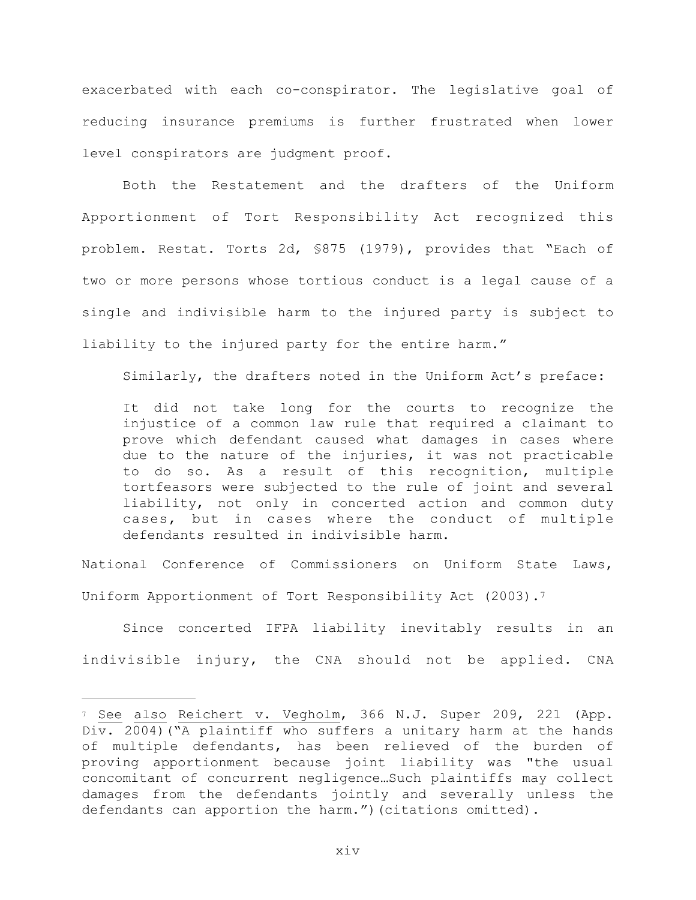exacerbated with each co-conspirator. The legislative goal of reducing insurance premiums is further frustrated when lower level conspirators are judgment proof.

Both the Restatement and the drafters of the Uniform Apportionment of Tort Responsibility Act recognized this problem. Restat. Torts 2d, §875 (1979), provides that "Each of two or more persons whose tortious conduct is a legal cause of a single and indivisible harm to the injured party is subject to liability to the injured party for the entire harm."

Similarly, the drafters noted in the Uniform Act's preface:

It did not take long for the courts to recognize the injustice of a common law rule that required a claimant to prove which defendant caused what damages in cases where due to the nature of the injuries, it was not practicable to do so. As a result of this recognition, multiple tortfeasors were subjected to the rule of joint and several liability, not only in concerted action and common duty cases, but in cases where the conduct of multiple defendants resulted in indivisible harm.

National Conference of Commissioners on Uniform State Laws, Uniform Apportionment of Tort Responsibility Act (2003)[.7](#page-19-0)

Since concerted IFPA liability inevitably results in an indivisible injury, the CNA should not be applied. CNA

<span id="page-19-1"></span>xiv

<span id="page-19-0"></span>[<sup>7</sup>](#page-19-1) See also Reichert v. Vegholm, 366 N.J. Super 209, 221 (App. Div. 2004)("A plaintiff who suffers a unitary harm at the hands of multiple defendants, has been relieved of the burden of proving apportionment because joint liability was "the usual concomitant of concurrent negligence…Such plaintiffs may collect damages from the defendants jointly and severally unless the defendants can apportion the harm.")(citations omitted).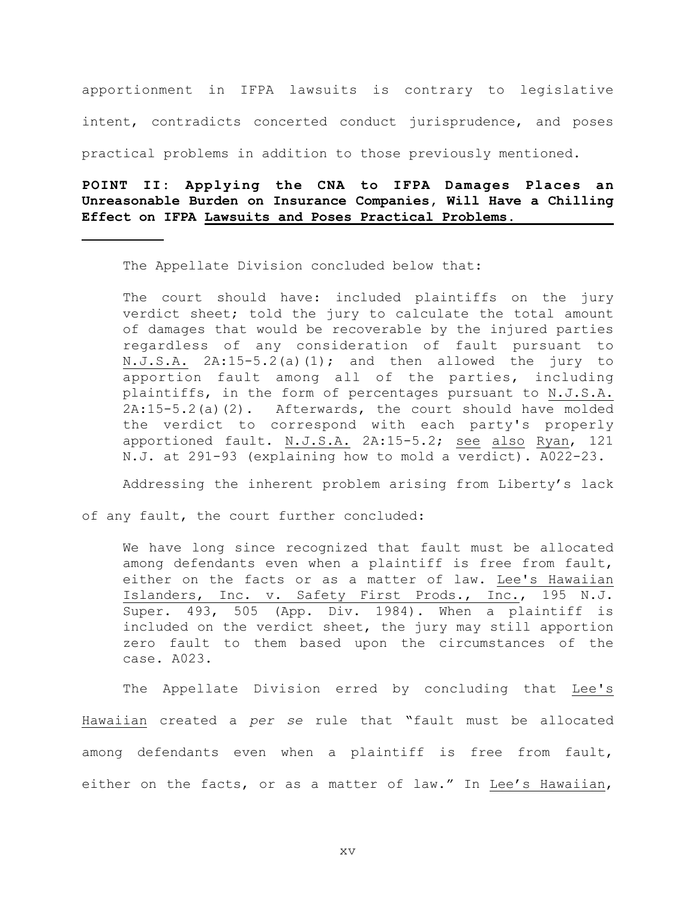apportionment in IFPA lawsuits is contrary to legislative intent, contradicts concerted conduct jurisprudence, and poses practical problems in addition to those previously mentioned.

**POINT II: Applying the CNA to IFPA Damages Places an Unreasonable Burden on Insurance Companies, Will Have a Chilling Effect on IFPA Lawsuits and Poses Practical Problems.** 

The Appellate Division concluded below that:

The court should have: included plaintiffs on the jury verdict sheet; told the jury to calculate the total amount of damages that would be recoverable by the injured parties regardless of any consideration of fault pursuant to N.J.S.A. 2A:15-5.2(a)(1); and then allowed the jury to apportion fault among all of the parties, including plaintiffs, in the form of percentages pursuant to N.J.S.A. 2A:15-5.2(a)(2). Afterwards, the court should have molded the verdict to correspond with each party's properly apportioned fault. N.J.S.A. 2A:15-5.2; see also Ryan, 121 N.J. at 291-93 (explaining how to mold a verdict). A022-23.

Addressing the inherent problem arising from Liberty's lack

of any fault, the court further concluded:

We have long since recognized that fault must be allocated among defendants even when a plaintiff is free from fault, either on the facts or as a matter of law. Lee's Hawaiian Islanders, Inc. v. Safety First Prods., Inc., 195 N.J. Super. 493, 505 (App. Div. 1984). When a plaintiff is included on the verdict sheet, the jury may still apportion zero fault to them based upon the circumstances of the case. A023.

The Appellate Division erred by concluding that Lee's Hawaiian created a *per se* rule that "fault must be allocated among defendants even when a plaintiff is free from fault, either on the facts, or as a matter of law." In Lee's Hawaiian,

xv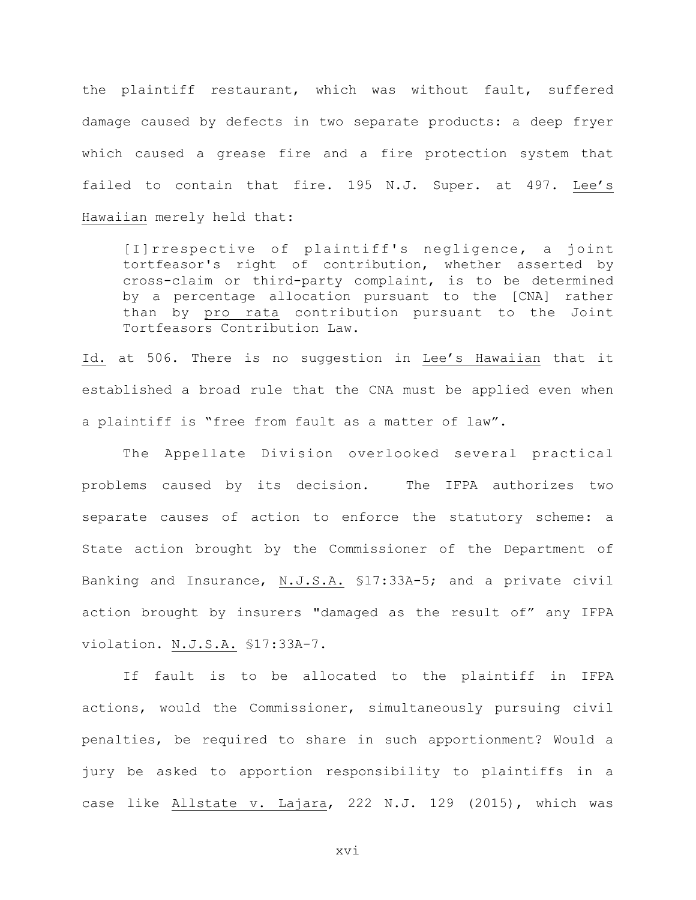the plaintiff restaurant, which was without fault, suffered damage caused by defects in two separate products: a deep fryer which caused a grease fire and a fire protection system that failed to contain that fire. 195 N.J. Super. at 497. Lee's Hawaiian merely held that:

[I]rrespective of plaintiff's negligence, a joint tortfeasor's right of contribution, whether asserted by cross-claim or third-party complaint, is to be determined by a percentage allocation pursuant to the [CNA] rather than by pro rata contribution pursuant to the Joint Tortfeasors Contribution Law.

Id. at 506. There is no suggestion in Lee's Hawaiian that it established a broad rule that the CNA must be applied even when a plaintiff is "free from fault as a matter of law".

 The Appellate Division overlooked several practical problems caused by its decision. The IFPA authorizes two separate causes of action to enforce the statutory scheme: a State action brought by the Commissioner of the Department of Banking and Insurance, N.J.S.A. §17:33A-5; and a private civil action brought by insurers "damaged as the result of" any IFPA violation. N.J.S.A. §17:33A-7.

 If fault is to be allocated to the plaintiff in IFPA actions, would the Commissioner, simultaneously pursuing civil penalties, be required to share in such apportionment? Would a jury be asked to apportion responsibility to plaintiffs in a case like Allstate v. Lajara, 222 N.J. 129 (2015), which was

xvi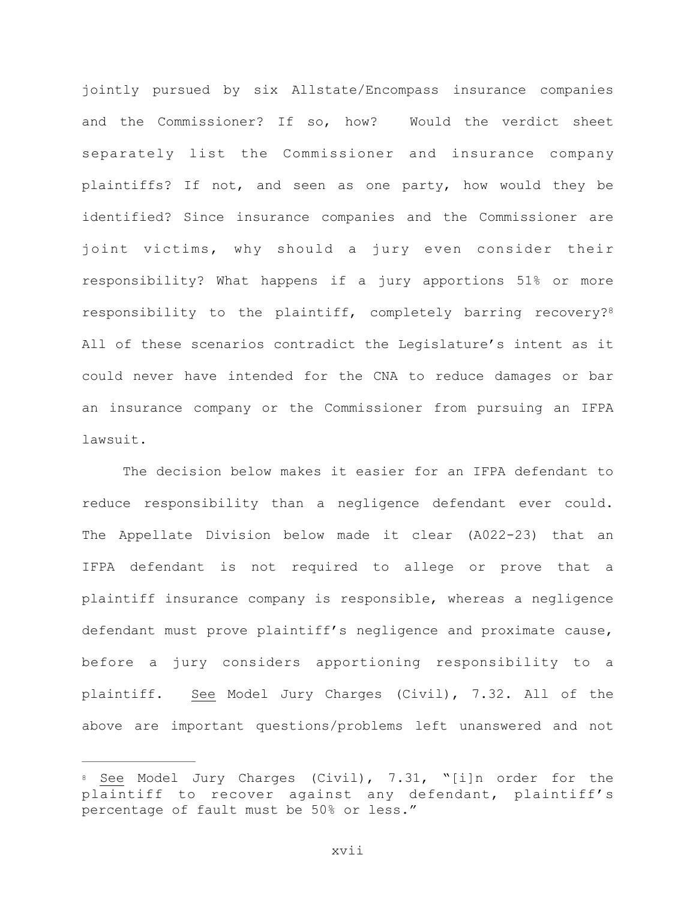jointly pursued by six Allstate/Encompass insurance companies and the Commissioner? If so, how? Would the verdict sheet separately list the Commissioner and insurance company plaintiffs? If not, and seen as one party, how would they be identified? Since insurance companies and the Commissioner are joint victims, why should a jury even consider their responsibility? What happens if a jury apportions 51% or more responsibility to the plaintiff, completely barring recovery[?8](#page-22-0) All of these scenarios contradict the Legislature's intent as it could never have intended for the CNA to reduce damages or bar an insurance company or the Commissioner from pursuing an IFPA lawsuit.

<span id="page-22-1"></span>The decision below makes it easier for an IFPA defendant to reduce responsibility than a negligence defendant ever could. The Appellate Division below made it clear (A022-23) that an IFPA defendant is not required to allege or prove that a plaintiff insurance company is responsible, whereas a negligence defendant must prove plaintiff's negligence and proximate cause, before a jury considers apportioning responsibility to a plaintiff. See Model Jury Charges (Civil), 7.32. All of the above are important questions/problems left unanswered and not

<span id="page-22-0"></span>[<sup>8</sup>](#page-22-1) See Model Jury Charges (Civil), 7.31, "[i]n order for the plaintiff to recover against any defendant, plaintiff's percentage of fault must be 50% or less."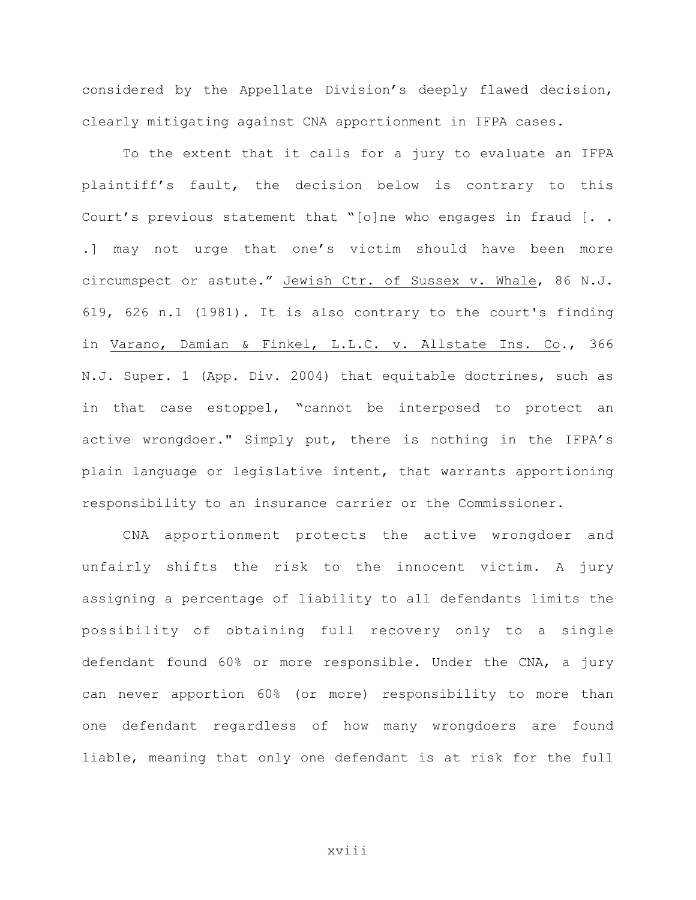considered by the Appellate Division's deeply flawed decision, clearly mitigating against CNA apportionment in IFPA cases.

To the extent that it calls for a jury to evaluate an IFPA plaintiff's fault, the decision below is contrary to this Court's previous statement that "[o]ne who engages in fraud [. . .] may not urge that one's victim should have been more circumspect or astute." Jewish Ctr. of Sussex v. Whale, 86 N.J. 619, 626 n.1 (1981). It is also contrary to the court's finding in Varano, Damian & Finkel, L.L.C. v. Allstate Ins. Co., 366 N.J. Super. 1 (App. Div. 2004) that equitable doctrines, such as in that case estoppel, "cannot be interposed to protect an active wrongdoer." Simply put, there is nothing in the IFPA's plain language or legislative intent, that warrants apportioning responsibility to an insurance carrier or the Commissioner.

CNA apportionment protects the active wrongdoer and unfairly shifts the risk to the innocent victim. A jury assigning a percentage of liability to all defendants limits the possibility of obtaining full recovery only to a single defendant found 60% or more responsible. Under the CNA, a jury can never apportion 60% (or more) responsibility to more than one defendant regardless of how many wrongdoers are found liable, meaning that only one defendant is at risk for the full

xviii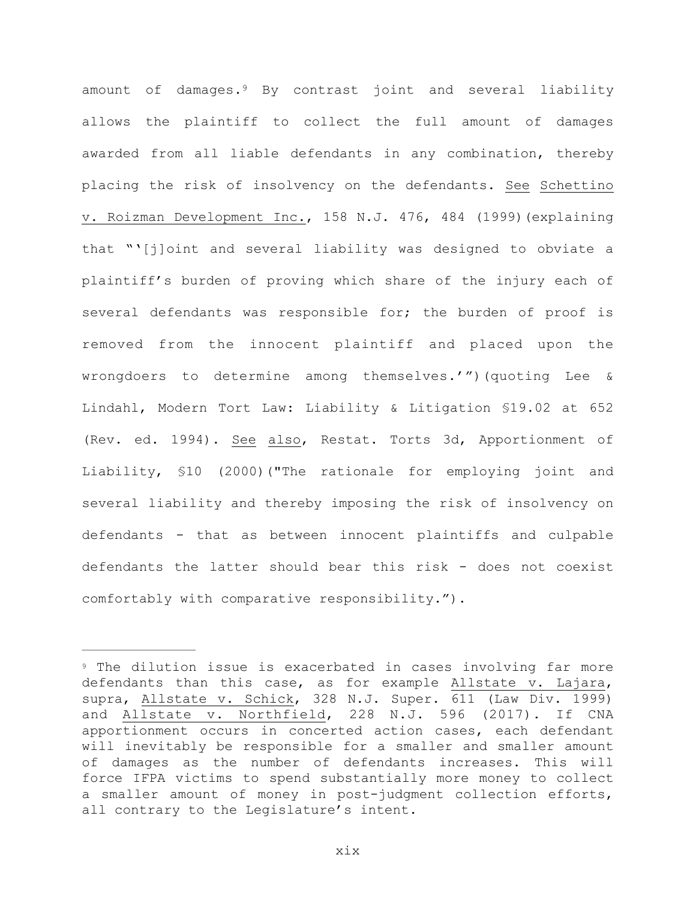<span id="page-24-1"></span>amount of damages.[9](#page-24-0) By contrast joint and several liability allows the plaintiff to collect the full amount of damages awarded from all liable defendants in any combination, thereby placing the risk of insolvency on the defendants. See Schettino v. Roizman Development Inc., 158 N.J. 476, 484 (1999)(explaining that "'[j]oint and several liability was designed to obviate a plaintiff's burden of proving which share of the injury each of several defendants was responsible for; the burden of proof is removed from the innocent plaintiff and placed upon the wrongdoers to determine among themselves.'")(quoting Lee & Lindahl, Modern Tort Law: Liability & Litigation §19.02 at 652 (Rev. ed. 1994). See also, Restat. Torts 3d, Apportionment of Liability, §10 (2000)("The rationale for employing joint and several liability and thereby imposing the risk of insolvency on defendants - that as between innocent plaintiffs and culpable defendants the latter should bear this risk - does not coexist comfortably with comparative responsibility.").

xix

<span id="page-24-0"></span>[<sup>9</sup>](#page-24-1) The dilution issue is exacerbated in cases involving far more defendants than this case, as for example Allstate v. Lajara, supra, Allstate v. Schick, 328 N.J. Super. 611 (Law Div. 1999) and Allstate v. Northfield, 228 N.J. 596 (2017). If CNA apportionment occurs in concerted action cases, each defendant will inevitably be responsible for a smaller and smaller amount of damages as the number of defendants increases. This will force IFPA victims to spend substantially more money to collect a smaller amount of money in post-judgment collection efforts, all contrary to the Legislature's intent.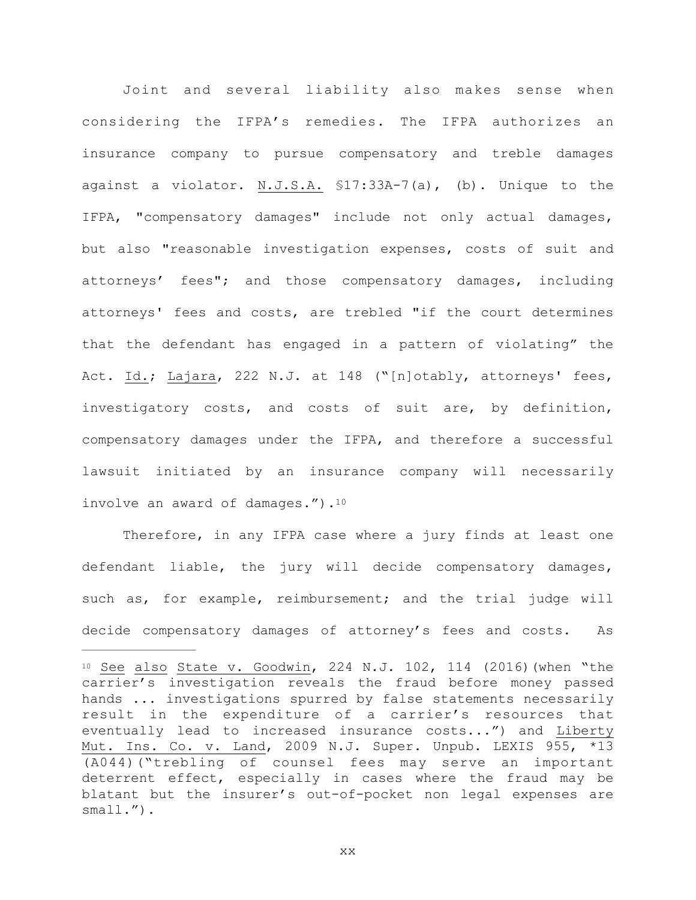Joint and several liability also makes sense when considering the IFPA's remedies. The IFPA authorizes an insurance company to pursue compensatory and treble damages against a violator. N.J.S.A. §17:33A-7(a), (b). Unique to the IFPA, "compensatory damages" include not only actual damages, but also "reasonable investigation expenses, costs of suit and attorneys' fees"; and those compensatory damages, including attorneys' fees and costs, are trebled "if the court determines that the defendant has engaged in a pattern of violating" the Act. Id.; Lajara, 222 N.J. at 148 ("[n]otably, attorneys' fees, investigatory costs, and costs of suit are, by definition, compensatory damages under the IFPA, and therefore a successful lawsuit initiated by an insurance company will necessarily involve an award of damages.")[.10](#page-25-0) 

<span id="page-25-1"></span>Therefore, in any IFPA case where a jury finds at least one defendant liable, the jury will decide compensatory damages, such as, for example, reimbursement; and the trial judge will decide compensatory damages of attorney's fees and costs. As

xx

<span id="page-25-0"></span>[<sup>10</sup>](#page-25-1) See also State v. Goodwin, 224 N.J. 102, 114 (2016)(when "the carrier's investigation reveals the fraud before money passed hands ... investigations spurred by false statements necessarily result in the expenditure of a carrier's resources that eventually lead to increased insurance costs...") and Liberty Mut. Ins. Co. v. Land, 2009 N.J. Super. Unpub. LEXIS 955, \*13 (A044)("trebling of counsel fees may serve an important deterrent effect, especially in cases where the fraud may be blatant but the insurer's out-of-pocket non legal expenses are small.").